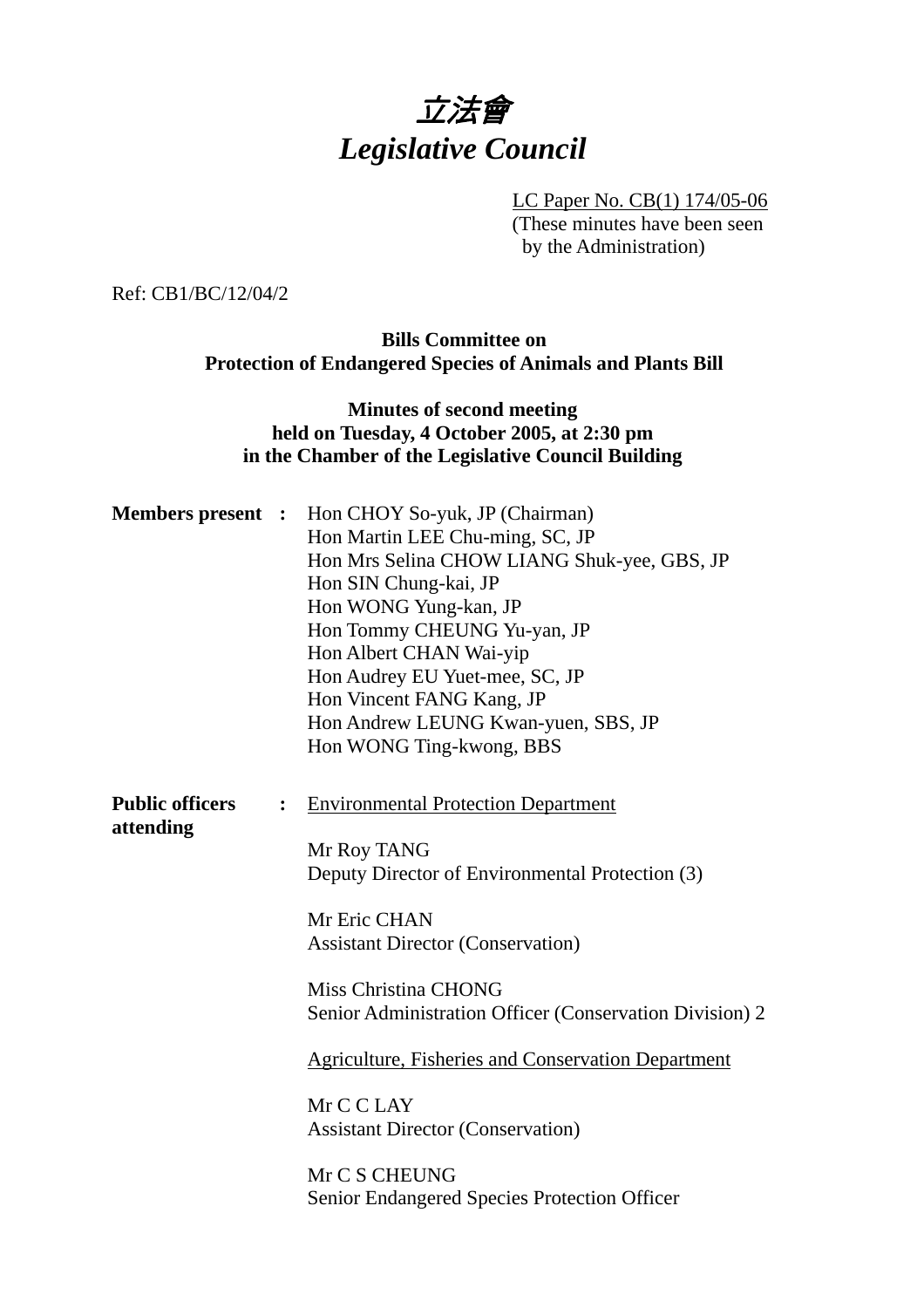

LC Paper No. CB(1) 174/05-06 (These minutes have been seen by the Administration)

Ref: CB1/BC/12/04/2

**Bills Committee on Protection of Endangered Species of Animals and Plants Bill** 

#### **Minutes of second meeting held on Tuesday, 4 October 2005, at 2:30 pm in the Chamber of the Legislative Council Building**

| <b>Members present :</b>            |                | Hon CHOY So-yuk, JP (Chairman)<br>Hon Martin LEE Chu-ming, SC, JP<br>Hon Mrs Selina CHOW LIANG Shuk-yee, GBS, JP<br>Hon SIN Chung-kai, JP<br>Hon WONG Yung-kan, JP<br>Hon Tommy CHEUNG Yu-yan, JP<br>Hon Albert CHAN Wai-yip<br>Hon Audrey EU Yuet-mee, SC, JP<br>Hon Vincent FANG Kang, JP<br>Hon Andrew LEUNG Kwan-yuen, SBS, JP<br>Hon WONG Ting-kwong, BBS |
|-------------------------------------|----------------|----------------------------------------------------------------------------------------------------------------------------------------------------------------------------------------------------------------------------------------------------------------------------------------------------------------------------------------------------------------|
| <b>Public officers</b><br>attending | $\ddot{\cdot}$ | <b>Environmental Protection Department</b><br>Mr Roy TANG<br>Deputy Director of Environmental Protection (3)<br>Mr Eric CHAN<br><b>Assistant Director (Conservation)</b><br>Miss Christina CHONG                                                                                                                                                               |
|                                     |                | Senior Administration Officer (Conservation Division) 2<br><b>Agriculture, Fisheries and Conservation Department</b><br>Mr C C LAY<br><b>Assistant Director (Conservation)</b><br>Mr C S CHEUNG<br><b>Senior Endangered Species Protection Officer</b>                                                                                                         |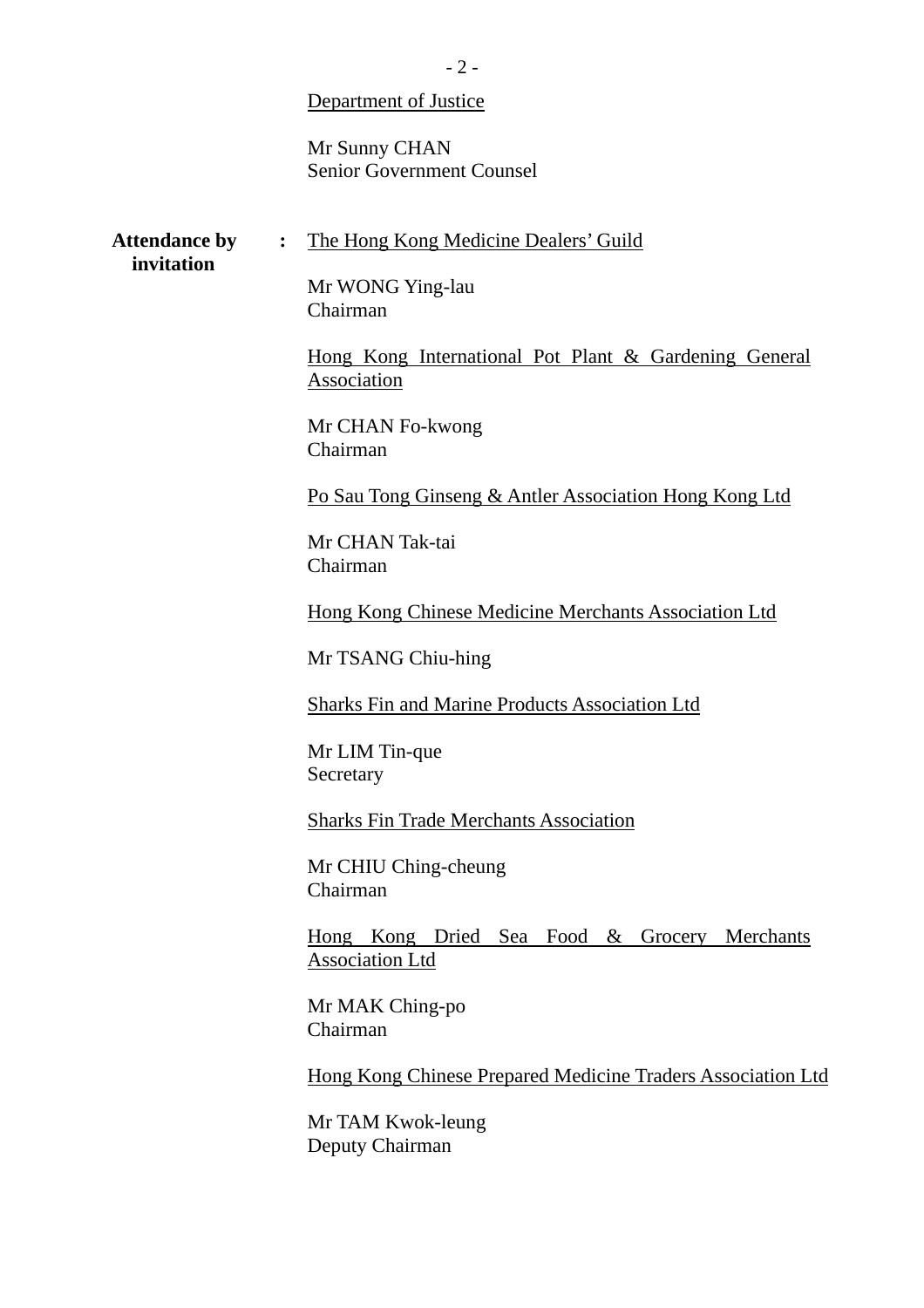#### Department of Justice

Mr Sunny CHAN Senior Government Counsel

Attendance by : The Hong Kong Medicine Dealers' Guild

#### **invitation**

Mr WONG Ying-lau Chairman

Hong Kong International Pot Plant & Gardening General **Association** 

Mr CHAN Fo-kwong Chairman

Po Sau Tong Ginseng & Antler Association Hong Kong Ltd

Mr CHAN Tak-tai Chairman

Hong Kong Chinese Medicine Merchants Association Ltd

Mr TSANG Chiu-hing

Sharks Fin and Marine Products Association Ltd

Mr LIM Tin-que Secretary

Sharks Fin Trade Merchants Association

Mr CHIU Ching-cheung Chairman

Hong Kong Dried Sea Food & Grocery Merchants Association Ltd

Mr MAK Ching-po Chairman

Hong Kong Chinese Prepared Medicine Traders Association Ltd

Mr TAM Kwok-leung Deputy Chairman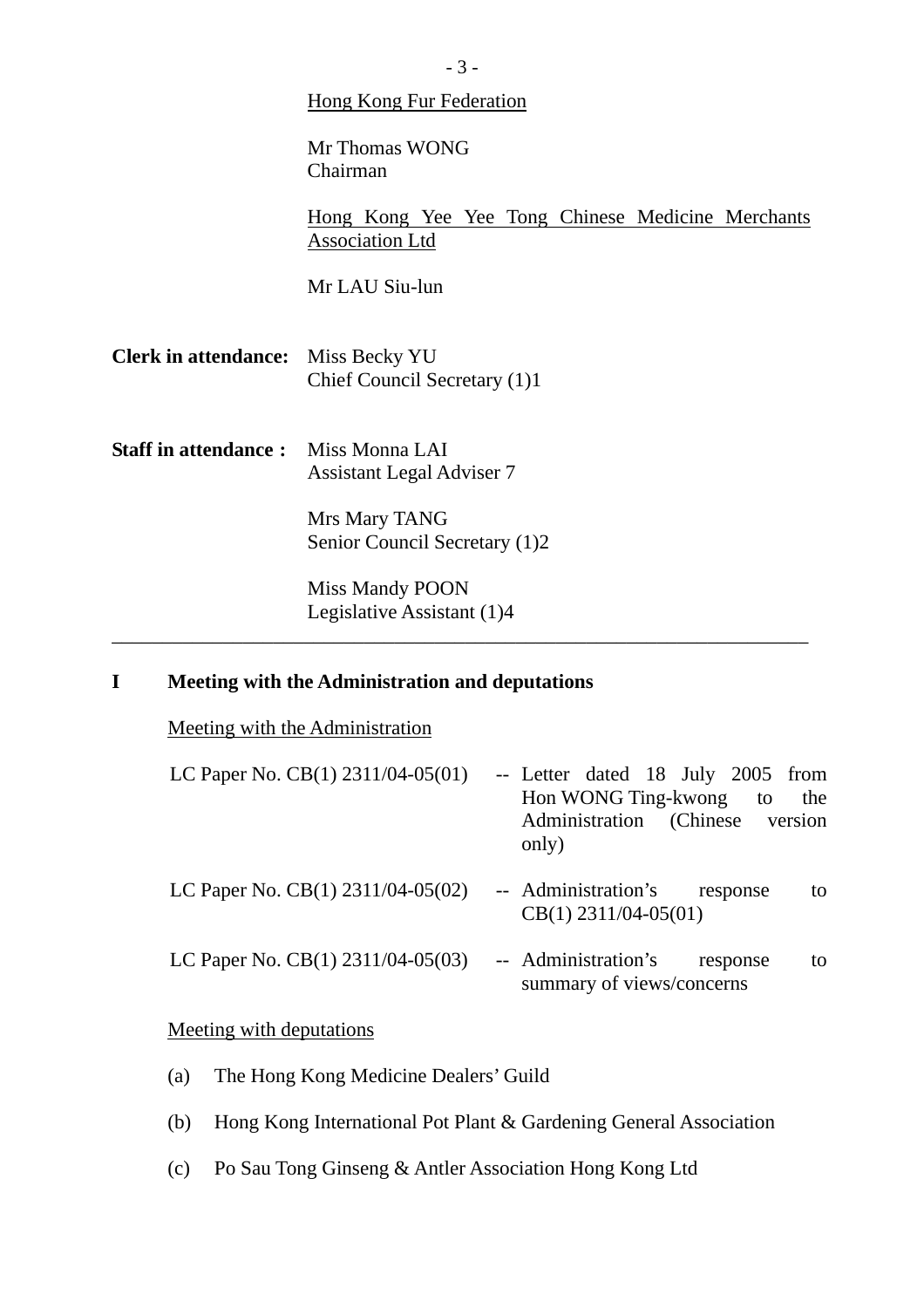|                                            | <b>Hong Kong Fur Federation</b>                                                    |
|--------------------------------------------|------------------------------------------------------------------------------------|
|                                            | Mr Thomas WONG<br>Chairman                                                         |
|                                            | <u>Hong Kong Yee Yee Tong Chinese Medicine Merchants</u><br><b>Association Ltd</b> |
|                                            | Mr LAU Siu-lun                                                                     |
| Clerk in attendance: Miss Becky YU         | Chief Council Secretary (1)1                                                       |
| <b>Staff in attendance:</b> Miss Monna LAI | <b>Assistant Legal Adviser 7</b>                                                   |
|                                            | Mrs Mary TANG<br>Senior Council Secretary (1)2                                     |
|                                            | Miss Mandy POON<br>Legislative Assistant (1)4                                      |
|                                            |                                                                                    |

# **I Meeting with the Administration and deputations**

Meeting with the Administration

| LC Paper No. $CB(1)$ 2311/04-05(01) | -- Letter dated 18 July 2005 from<br>Hon WONG Ting-kwong<br>the<br>to<br>Administration (Chinese version<br>only) |
|-------------------------------------|-------------------------------------------------------------------------------------------------------------------|
| LC Paper No. $CB(1)$ 2311/04-05(02) | -- Administration's<br>response<br>to<br>$CB(1)$ 2311/04-05(01)                                                   |
| LC Paper No. $CB(1)$ 2311/04-05(03) | -- Administration's<br>response<br>to<br>summary of views/concerns                                                |

## Meeting with deputations

- (a) The Hong Kong Medicine Dealers' Guild
- (b) Hong Kong International Pot Plant & Gardening General Association
- (c) Po Sau Tong Ginseng & Antler Association Hong Kong Ltd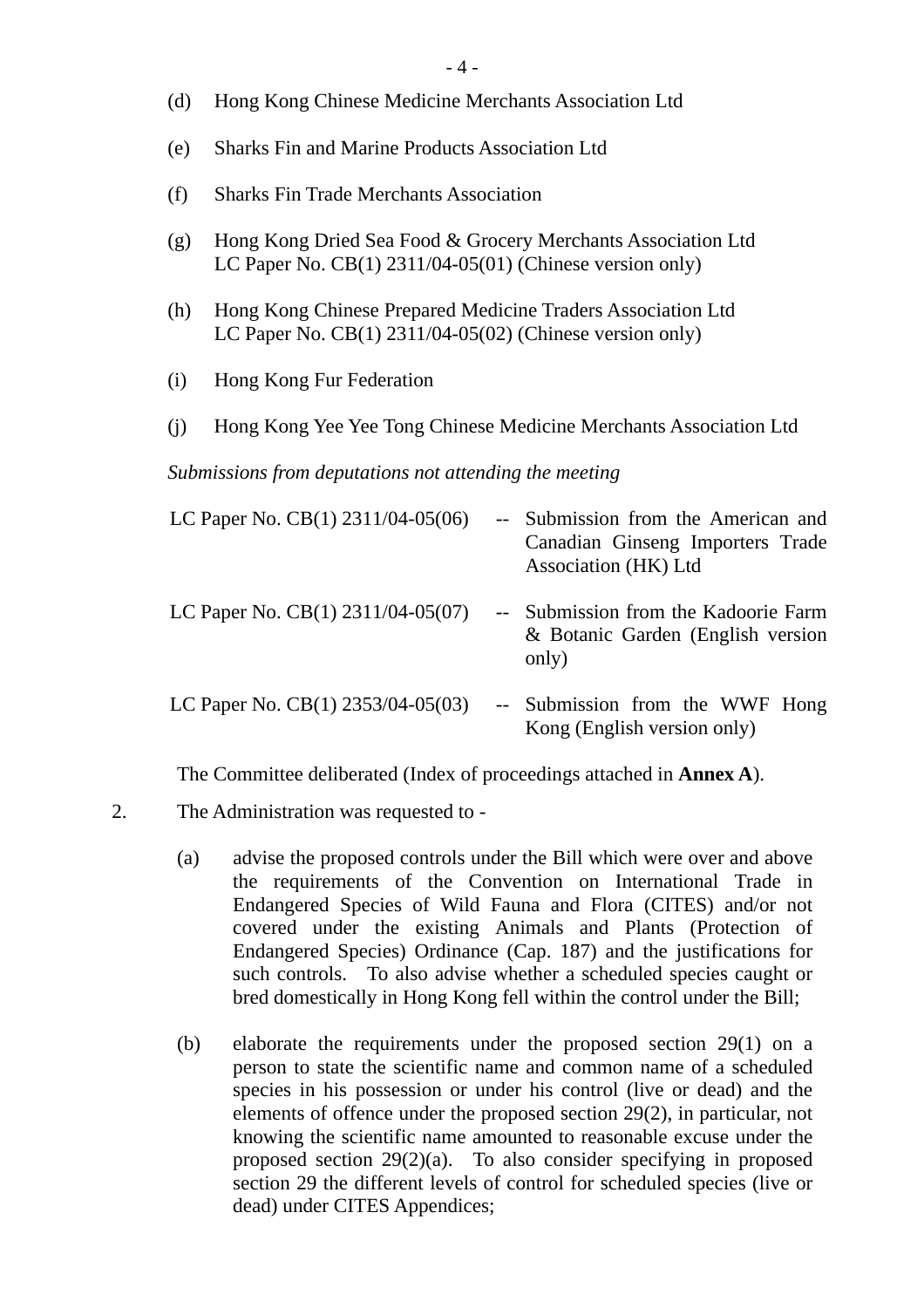- (d) Hong Kong Chinese Medicine Merchants Association Ltd
- (e) Sharks Fin and Marine Products Association Ltd
- (f) Sharks Fin Trade Merchants Association
- (g) Hong Kong Dried Sea Food & Grocery Merchants Association Ltd LC Paper No. CB(1) 2311/04-05(01) (Chinese version only)
- (h) Hong Kong Chinese Prepared Medicine Traders Association Ltd LC Paper No. CB(1) 2311/04-05(02) (Chinese version only)
- (i) Hong Kong Fur Federation
- (j) Hong Kong Yee Yee Tong Chinese Medicine Merchants Association Ltd

*Submissions from deputations not attending the meeting* 

| LC Paper No. $CB(1)$ 2311/04-05(06)     | $-$ | Submission from the American and<br>Canadian Ginseng Importers Trade<br>Association (HK) Ltd |
|-----------------------------------------|-----|----------------------------------------------------------------------------------------------|
| LC Paper No. $CB(1)$ 2311/04-05(07)     |     | -- Submission from the Kadoorie Farm<br>& Botanic Garden (English version<br>only)           |
| LC Paper No. CB $(1)$ 2353/04-05 $(03)$ |     | -- Submission from the WWF Hong<br>Kong (English version only)                               |

The Committee deliberated (Index of proceedings attached in **Annex A**).

- 2. The Administration was requested to
	- (a) advise the proposed controls under the Bill which were over and above the requirements of the Convention on International Trade in Endangered Species of Wild Fauna and Flora (CITES) and/or not covered under the existing Animals and Plants (Protection of Endangered Species) Ordinance (Cap. 187) and the justifications for such controls. To also advise whether a scheduled species caught or bred domestically in Hong Kong fell within the control under the Bill;
	- (b) elaborate the requirements under the proposed section 29(1) on a person to state the scientific name and common name of a scheduled species in his possession or under his control (live or dead) and the elements of offence under the proposed section 29(2), in particular, not knowing the scientific name amounted to reasonable excuse under the proposed section 29(2)(a). To also consider specifying in proposed section 29 the different levels of control for scheduled species (live or dead) under CITES Appendices;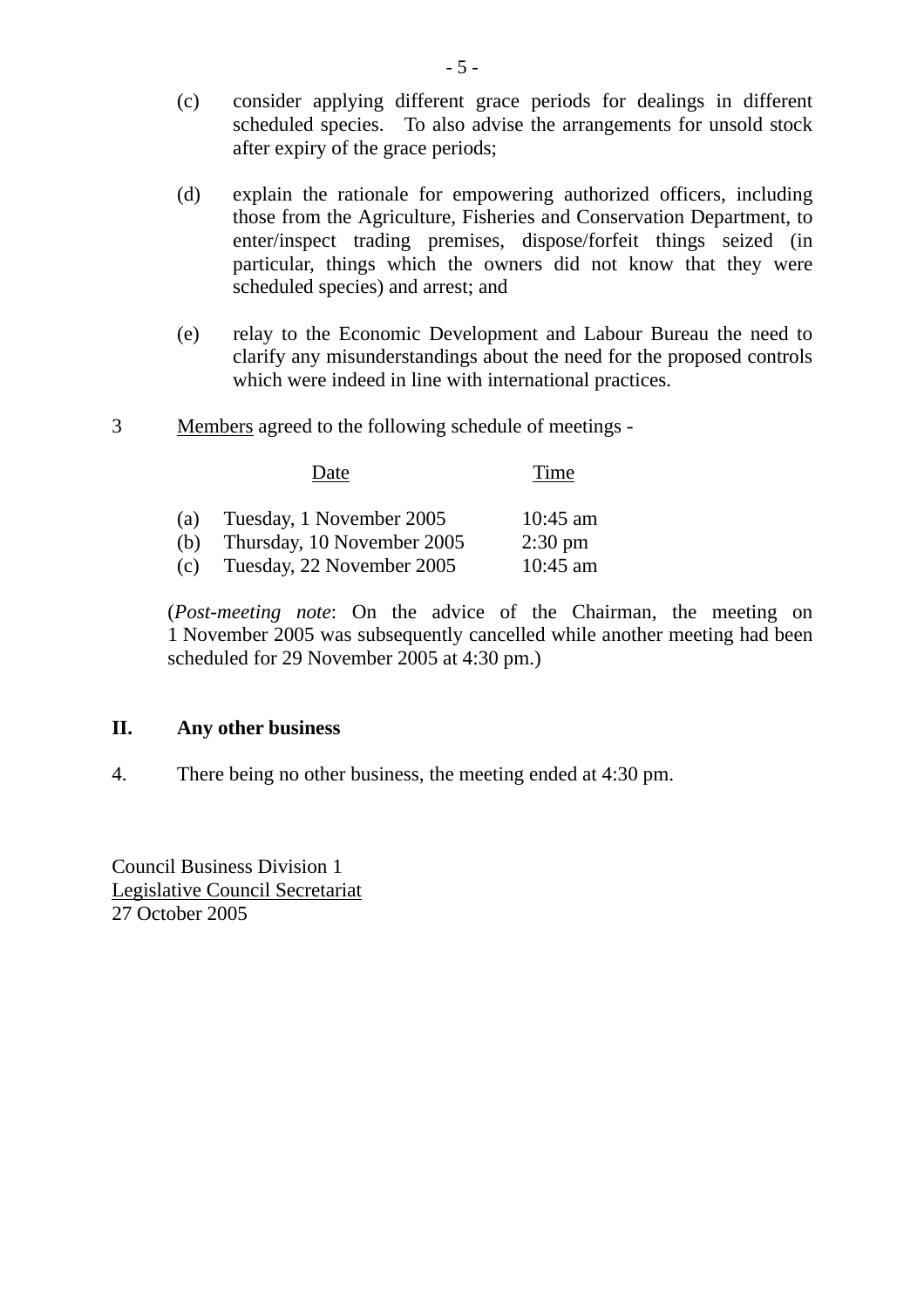- (c) consider applying different grace periods for dealings in different scheduled species. To also advise the arrangements for unsold stock after expiry of the grace periods;
- (d) explain the rationale for empowering authorized officers, including those from the Agriculture, Fisheries and Conservation Department, to enter/inspect trading premises, dispose/forfeit things seized (in particular, things which the owners did not know that they were scheduled species) and arrest; and
- (e) relay to the Economic Development and Labour Bureau the need to clarify any misunderstandings about the need for the proposed controls which were indeed in line with international practices.
- 3 Members agreed to the following schedule of meetings -

Date Time

| (a) | Tuesday, 1 November 2005   | $10:45$ am        |
|-----|----------------------------|-------------------|
| (b) | Thursday, 10 November 2005 | $2:30 \text{ pm}$ |
| (c) | Tuesday, 22 November 2005  | $10:45$ am        |

(*Post-meeting note*: On the advice of the Chairman, the meeting on 1 November 2005 was subsequently cancelled while another meeting had been scheduled for 29 November 2005 at 4:30 pm.)

#### **II. Any other business**

4. There being no other business, the meeting ended at 4:30 pm.

Council Business Division 1 Legislative Council Secretariat 27 October 2005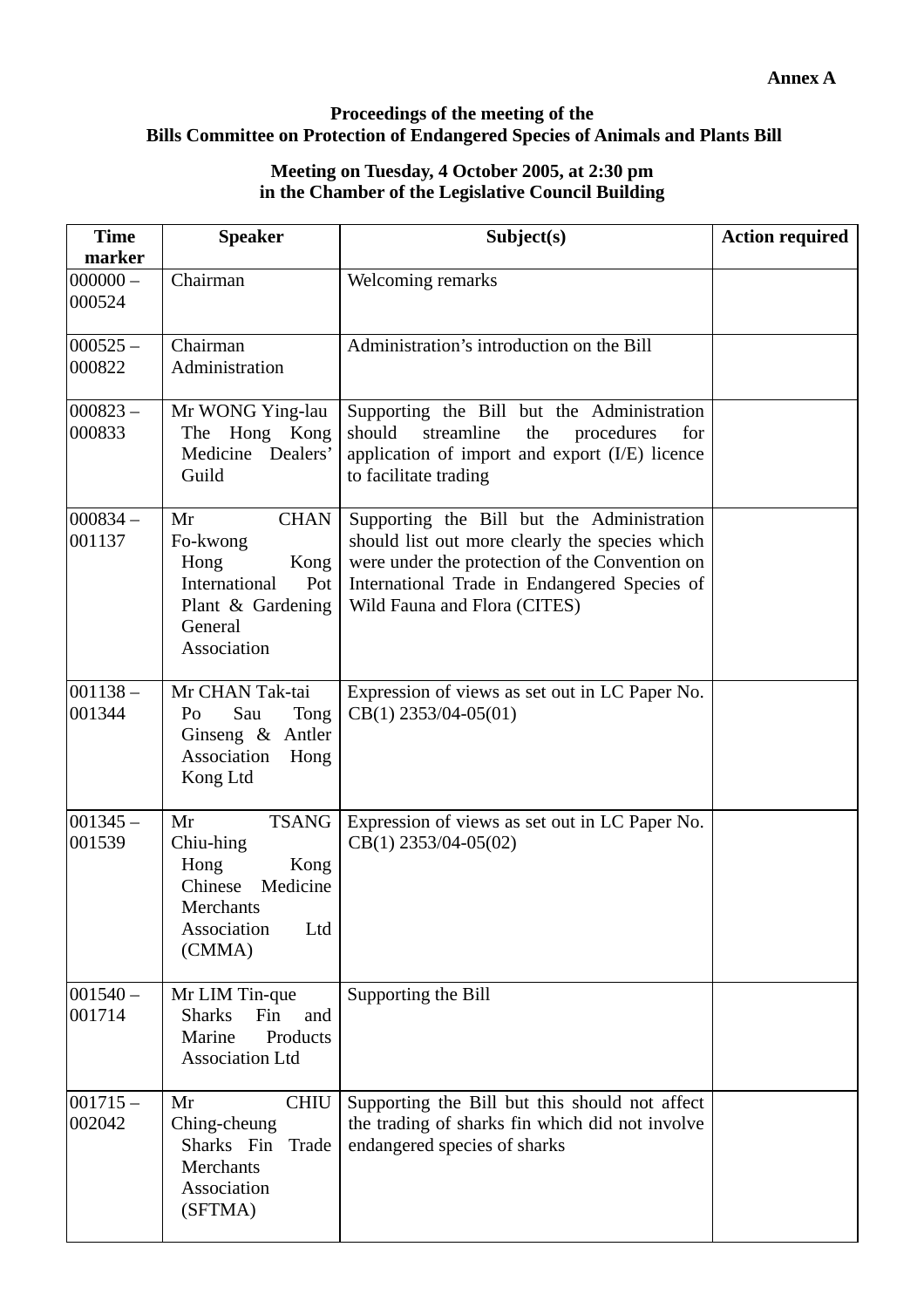### **Proceedings of the meeting of the Bills Committee on Protection of Endangered Species of Animals and Plants Bill**

#### **Meeting on Tuesday, 4 October 2005, at 2:30 pm in the Chamber of the Legislative Council Building**

| <b>Time</b><br>marker | <b>Speaker</b>                                                                                                       | Subject(s)                                                                                                                                                                                                                     | <b>Action required</b> |
|-----------------------|----------------------------------------------------------------------------------------------------------------------|--------------------------------------------------------------------------------------------------------------------------------------------------------------------------------------------------------------------------------|------------------------|
| $000000 -$<br>000524  | Chairman                                                                                                             | Welcoming remarks                                                                                                                                                                                                              |                        |
| $000525 -$<br>000822  | Chairman<br>Administration                                                                                           | Administration's introduction on the Bill                                                                                                                                                                                      |                        |
| $000823 -$<br>000833  | Mr WONG Ying-lau<br>The Hong Kong<br>Medicine Dealers'<br>Guild                                                      | Supporting the Bill but the Administration<br>should<br>streamline<br>the<br>procedures<br>for<br>application of import and export (I/E) licence<br>to facilitate trading                                                      |                        |
| $ 000834 -$<br>001137 | <b>CHAN</b><br>Mr<br>Fo-kwong<br>Hong<br>Kong<br>International<br>Pot<br>Plant & Gardening<br>General<br>Association | Supporting the Bill but the Administration<br>should list out more clearly the species which<br>were under the protection of the Convention on<br>International Trade in Endangered Species of<br>Wild Fauna and Flora (CITES) |                        |
| $001138 -$<br>001344  | Mr CHAN Tak-tai<br>Sau<br>Tong<br>Po<br>Ginseng $\&$ Antler<br>Association<br>Hong<br>Kong Ltd                       | Expression of views as set out in LC Paper No.<br>$CB(1)$ 2353/04-05(01)                                                                                                                                                       |                        |
| $001345 -$<br>001539  | <b>TSANG</b><br>Mr<br>Chiu-hing<br>Hong<br>Kong<br>Chinese<br>Medicine<br>Merchants<br>Association<br>Ltd<br>(CMMA)  | Expression of views as set out in LC Paper No.<br>$CB(1)$ 2353/04-05(02)                                                                                                                                                       |                        |
| $001540 -$<br>001714  | Mr LIM Tin-que<br><b>Sharks</b><br>Fin<br>and<br>Marine<br>Products<br><b>Association Ltd</b>                        | Supporting the Bill                                                                                                                                                                                                            |                        |
| $001715 -$<br>002042  | <b>CHIU</b><br>Mr<br>Ching-cheung<br>Trade<br>Sharks Fin<br>Merchants<br>Association<br>(SFTMA)                      | Supporting the Bill but this should not affect<br>the trading of sharks fin which did not involve<br>endangered species of sharks                                                                                              |                        |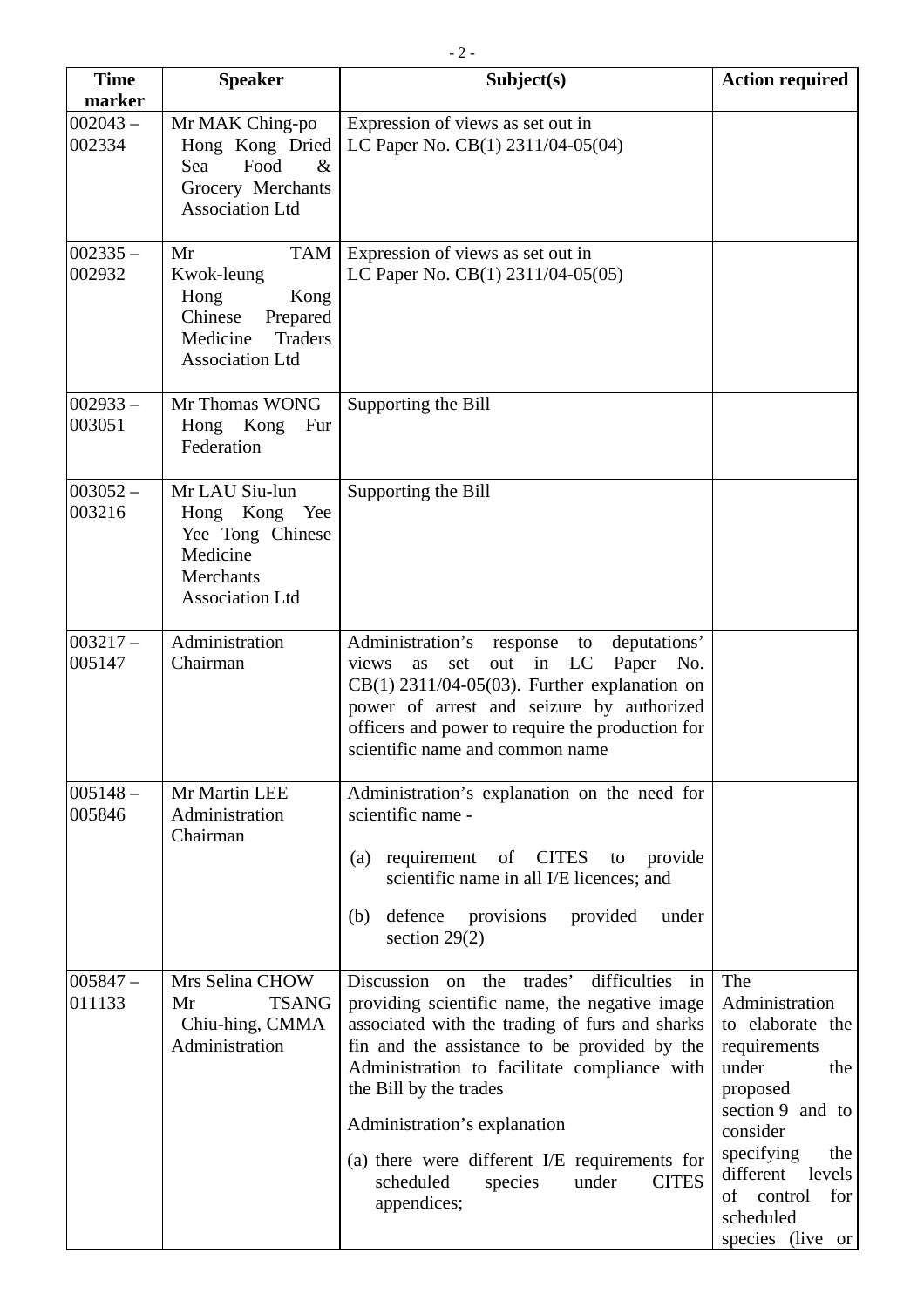| <b>Time</b><br>marker | <b>Speaker</b>                                                                                                                | Subject(s)                                                                                                                                                                                                                                                                                                                                                                                                                 | <b>Action required</b>                                                                                                                                                                                                     |
|-----------------------|-------------------------------------------------------------------------------------------------------------------------------|----------------------------------------------------------------------------------------------------------------------------------------------------------------------------------------------------------------------------------------------------------------------------------------------------------------------------------------------------------------------------------------------------------------------------|----------------------------------------------------------------------------------------------------------------------------------------------------------------------------------------------------------------------------|
| $002043 -$<br>002334  | Mr MAK Ching-po<br>Hong Kong Dried<br>Food<br>Sea<br>$\&$<br>Grocery Merchants<br><b>Association Ltd</b>                      | Expression of views as set out in<br>LC Paper No. CB(1) 2311/04-05(04)                                                                                                                                                                                                                                                                                                                                                     |                                                                                                                                                                                                                            |
| $002335 -$<br>002932  | <b>TAM</b><br>Mr<br>Kwok-leung<br>Hong<br>Kong<br>Chinese<br>Prepared<br><b>Traders</b><br>Medicine<br><b>Association Ltd</b> | Expression of views as set out in<br>LC Paper No. CB(1) 2311/04-05(05)                                                                                                                                                                                                                                                                                                                                                     |                                                                                                                                                                                                                            |
| $002933 -$<br>003051  | Mr Thomas WONG<br>Hong Kong<br>Fur<br>Federation                                                                              | Supporting the Bill                                                                                                                                                                                                                                                                                                                                                                                                        |                                                                                                                                                                                                                            |
| $003052 -$<br>003216  | Mr LAU Siu-lun<br>Hong Kong<br>Yee<br>Yee Tong Chinese<br>Medicine<br>Merchants<br><b>Association Ltd</b>                     | Supporting the Bill                                                                                                                                                                                                                                                                                                                                                                                                        |                                                                                                                                                                                                                            |
| $003217 -$<br>005147  | Administration<br>Chairman                                                                                                    | Administration's<br>deputations'<br>response<br>to<br>out<br>in<br>LC<br>Paper<br>views<br>No.<br>set<br>as<br>$CB(1)$ 2311/04-05(03). Further explanation on<br>power of arrest and seizure by authorized<br>officers and power to require the production for<br>scientific name and common name                                                                                                                          |                                                                                                                                                                                                                            |
| $005148 -$<br>005846  | Mr Martin LEE<br>Administration<br>Chairman                                                                                   | Administration's explanation on the need for<br>scientific name -<br>(a) requirement<br>of CITES<br>provide<br>to<br>scientific name in all I/E licences; and<br>defence<br>provisions<br>provided<br>under<br>(b)<br>section $29(2)$                                                                                                                                                                                      |                                                                                                                                                                                                                            |
| $005847 -$<br>011133  | Mrs Selina CHOW<br><b>TSANG</b><br>Mr<br>Chiu-hing, CMMA<br>Administration                                                    | Discussion on the trades'<br>difficulties in<br>providing scientific name, the negative image<br>associated with the trading of furs and sharks<br>fin and the assistance to be provided by the<br>Administration to facilitate compliance with<br>the Bill by the trades<br>Administration's explanation<br>(a) there were different I/E requirements for<br>scheduled<br>under<br><b>CITES</b><br>species<br>appendices; | The<br>Administration<br>to elaborate the<br>requirements<br>under<br>the<br>proposed<br>section 9 and to<br>consider<br>specifying<br>the<br>different<br>levels<br>of<br>control<br>for<br>scheduled<br>species (live or |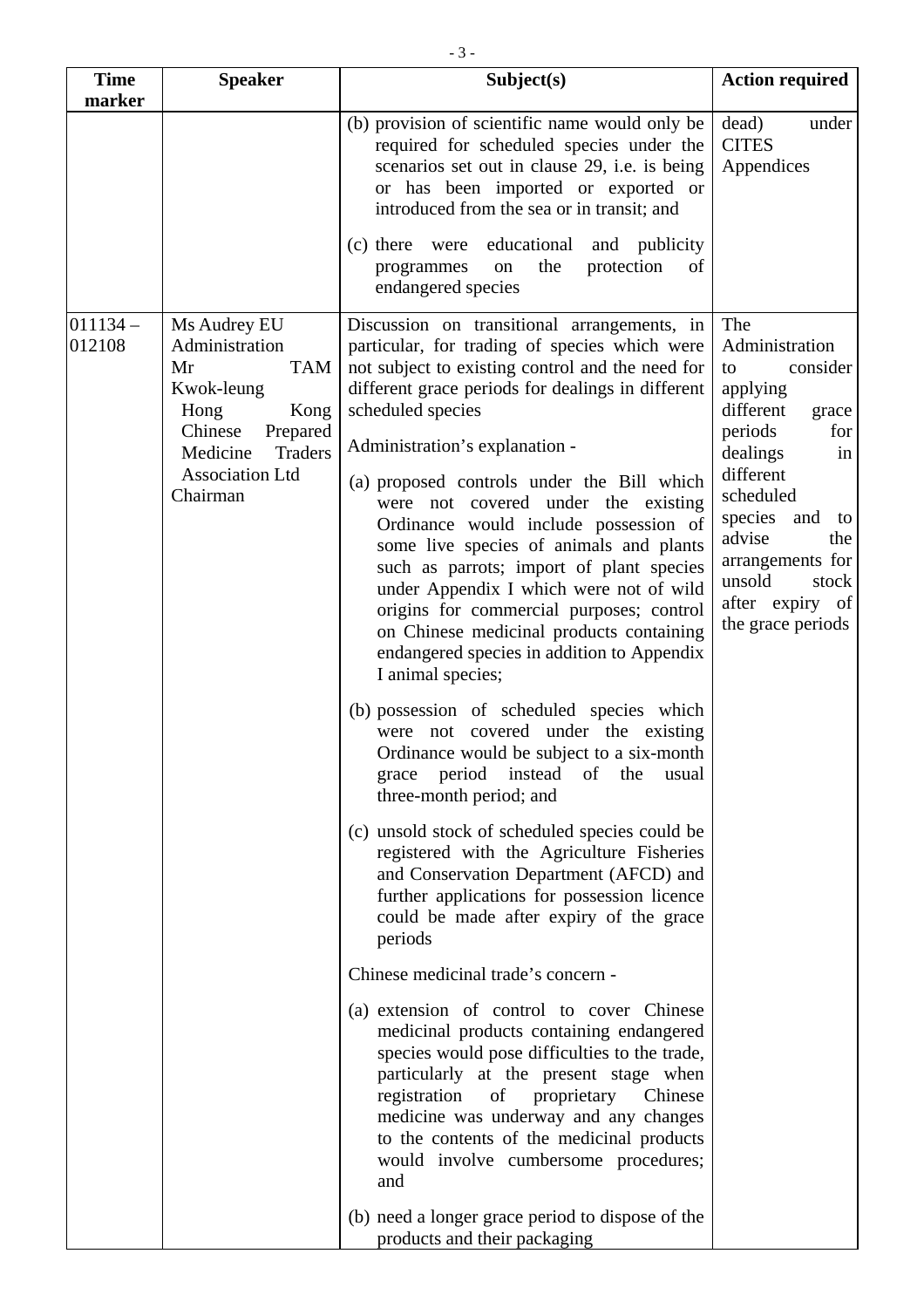| <b>Time</b><br>marker | <b>Speaker</b>                                                                                                                                                              | Subject(s)                                                                                                                                                                                                                                                                                                                                                                                                                                                                                                                                                                                                                                                                                                                                                                                                                                                                                                                                                                                                                                                                                                                                                                                                                                                                                                                                                                                                                                                                                                                                                   | <b>Action required</b>                                                                                                                                                                                                                                          |
|-----------------------|-----------------------------------------------------------------------------------------------------------------------------------------------------------------------------|--------------------------------------------------------------------------------------------------------------------------------------------------------------------------------------------------------------------------------------------------------------------------------------------------------------------------------------------------------------------------------------------------------------------------------------------------------------------------------------------------------------------------------------------------------------------------------------------------------------------------------------------------------------------------------------------------------------------------------------------------------------------------------------------------------------------------------------------------------------------------------------------------------------------------------------------------------------------------------------------------------------------------------------------------------------------------------------------------------------------------------------------------------------------------------------------------------------------------------------------------------------------------------------------------------------------------------------------------------------------------------------------------------------------------------------------------------------------------------------------------------------------------------------------------------------|-----------------------------------------------------------------------------------------------------------------------------------------------------------------------------------------------------------------------------------------------------------------|
|                       |                                                                                                                                                                             | (b) provision of scientific name would only be<br>required for scheduled species under the<br>scenarios set out in clause 29, i.e. is being<br>or has been imported or exported or<br>introduced from the sea or in transit; and                                                                                                                                                                                                                                                                                                                                                                                                                                                                                                                                                                                                                                                                                                                                                                                                                                                                                                                                                                                                                                                                                                                                                                                                                                                                                                                             | dead)<br>under<br><b>CITES</b><br>Appendices                                                                                                                                                                                                                    |
|                       |                                                                                                                                                                             | educational<br>$(c)$ there<br>and publicity<br>were<br>the<br>protection<br>programmes<br>on<br>of<br>endangered species                                                                                                                                                                                                                                                                                                                                                                                                                                                                                                                                                                                                                                                                                                                                                                                                                                                                                                                                                                                                                                                                                                                                                                                                                                                                                                                                                                                                                                     |                                                                                                                                                                                                                                                                 |
| $011134 -$<br>012108  | Ms Audrey EU<br>Administration<br><b>TAM</b><br>Mr<br>Kwok-leung<br>Hong<br>Kong<br>Chinese<br>Prepared<br>Medicine<br><b>Traders</b><br><b>Association Ltd</b><br>Chairman | Discussion on transitional arrangements, in<br>particular, for trading of species which were<br>not subject to existing control and the need for<br>different grace periods for dealings in different<br>scheduled species<br>Administration's explanation -<br>(a) proposed controls under the Bill which<br>were not covered under the existing<br>Ordinance would include possession of<br>some live species of animals and plants<br>such as parrots; import of plant species<br>under Appendix I which were not of wild<br>origins for commercial purposes; control<br>on Chinese medicinal products containing<br>endangered species in addition to Appendix<br>I animal species;<br>(b) possession of scheduled species which<br>were not covered under the existing<br>Ordinance would be subject to a six-month<br>period instead<br>of the<br>grace<br>usual<br>three-month period; and<br>(c) unsold stock of scheduled species could be<br>registered with the Agriculture Fisheries<br>and Conservation Department (AFCD) and<br>further applications for possession licence<br>could be made after expiry of the grace<br>periods<br>Chinese medicinal trade's concern -<br>(a) extension of control to cover Chinese<br>medicinal products containing endangered<br>species would pose difficulties to the trade,<br>particularly at the present stage when<br>registration<br>of proprietary<br>Chinese<br>medicine was underway and any changes<br>to the contents of the medicinal products<br>would involve cumbersome procedures;<br>and | The<br>Administration<br>consider<br>to<br>applying<br>different<br>grace<br>periods<br>for<br>dealings<br>in<br>different<br>scheduled<br>species<br>and<br>to<br>advise<br>the<br>arrangements for<br>unsold<br>stock<br>after expiry of<br>the grace periods |
|                       |                                                                                                                                                                             | (b) need a longer grace period to dispose of the<br>products and their packaging                                                                                                                                                                                                                                                                                                                                                                                                                                                                                                                                                                                                                                                                                                                                                                                                                                                                                                                                                                                                                                                                                                                                                                                                                                                                                                                                                                                                                                                                             |                                                                                                                                                                                                                                                                 |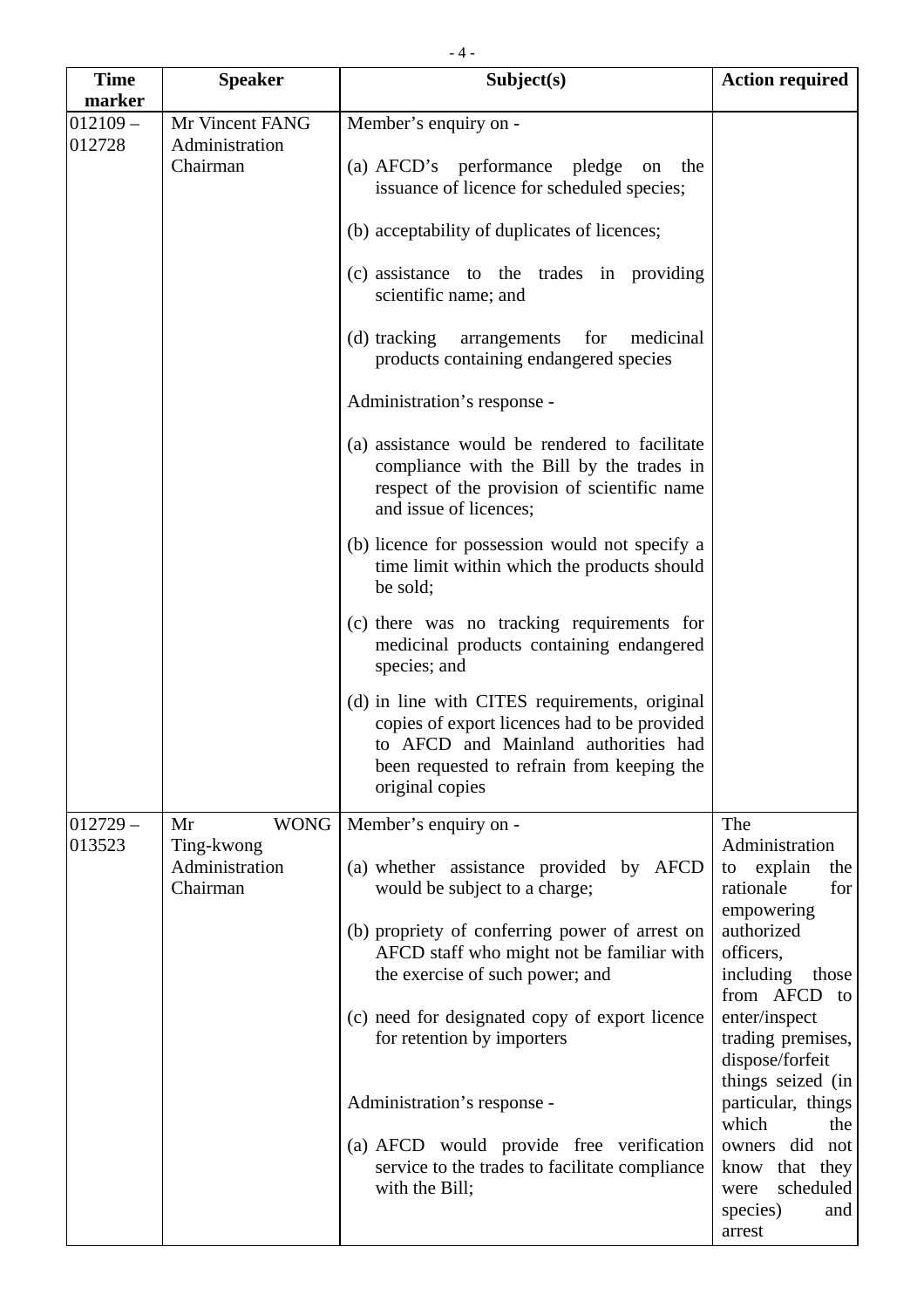| <b>Time</b>          | <b>Speaker</b>                                | Subject(s)                                                                                                                                                                                             | <b>Action required</b>                                                             |
|----------------------|-----------------------------------------------|--------------------------------------------------------------------------------------------------------------------------------------------------------------------------------------------------------|------------------------------------------------------------------------------------|
| marker               |                                               |                                                                                                                                                                                                        |                                                                                    |
| $012109 -$<br>012728 | Mr Vincent FANG<br>Administration<br>Chairman | Member's enquiry on -<br>(a) AFCD's performance pledge on the<br>issuance of licence for scheduled species;                                                                                            |                                                                                    |
|                      |                                               | (b) acceptability of duplicates of licences;                                                                                                                                                           |                                                                                    |
|                      |                                               | (c) assistance to the trades in providing<br>scientific name; and                                                                                                                                      |                                                                                    |
|                      |                                               | (d) tracking arrangements for<br>medicinal<br>products containing endangered species                                                                                                                   |                                                                                    |
|                      |                                               | Administration's response -                                                                                                                                                                            |                                                                                    |
|                      |                                               | (a) assistance would be rendered to facilitate<br>compliance with the Bill by the trades in<br>respect of the provision of scientific name<br>and issue of licences;                                   |                                                                                    |
|                      |                                               | (b) licence for possession would not specify a<br>time limit within which the products should<br>be sold;                                                                                              |                                                                                    |
|                      |                                               | (c) there was no tracking requirements for<br>medicinal products containing endangered<br>species; and                                                                                                 |                                                                                    |
|                      |                                               | (d) in line with CITES requirements, original<br>copies of export licences had to be provided<br>to AFCD and Mainland authorities had<br>been requested to refrain from keeping the<br>original copies |                                                                                    |
| $012729 -$           | <b>WONG</b><br>Mr                             | Member's enquiry on -                                                                                                                                                                                  | The                                                                                |
| 013523               | Ting-kwong<br>Administration<br>Chairman      | (a) whether assistance provided by AFCD<br>would be subject to a charge;                                                                                                                               | Administration<br>explain<br>the<br>to<br>rationale<br>for<br>empowering           |
|                      |                                               | (b) propriety of conferring power of arrest on<br>AFCD staff who might not be familiar with<br>the exercise of such power; and                                                                         | authorized<br>officers,<br>including<br>those<br>from AFCD<br>to                   |
|                      |                                               | (c) need for designated copy of export licence<br>for retention by importers                                                                                                                           | enter/inspect<br>trading premises,<br>dispose/forfeit                              |
|                      |                                               | Administration's response -                                                                                                                                                                            | things seized (in<br>particular, things<br>which<br>the                            |
|                      |                                               | (a) AFCD would provide free verification<br>service to the trades to facilitate compliance<br>with the Bill;                                                                                           | owners did not<br>know that they<br>scheduled<br>were<br>species)<br>and<br>arrest |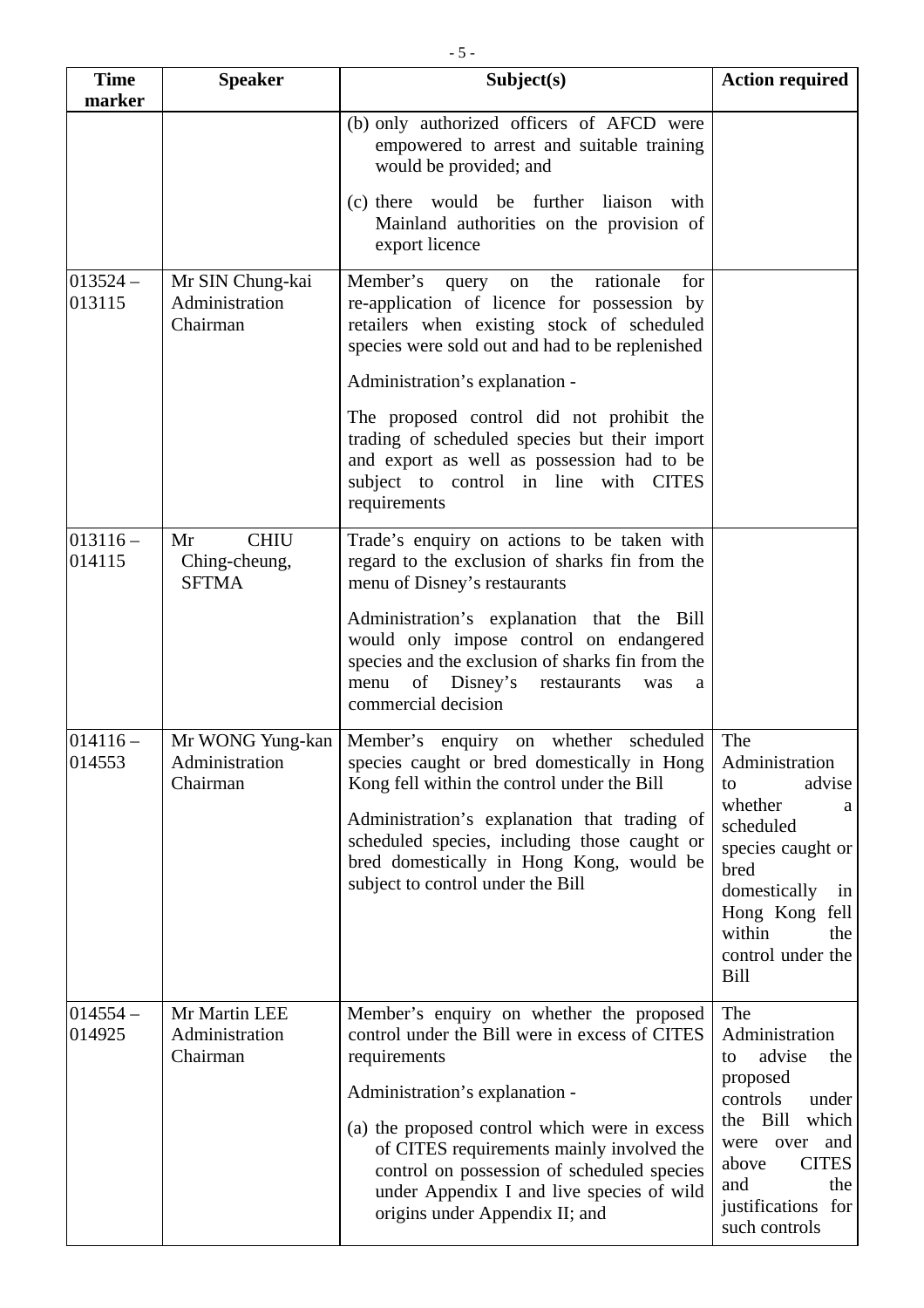| <b>Time</b><br>marker | <b>Speaker</b>                                     | Subject(s)                                                                                                                                                                                                                           | <b>Action required</b>                                                                                                                       |
|-----------------------|----------------------------------------------------|--------------------------------------------------------------------------------------------------------------------------------------------------------------------------------------------------------------------------------------|----------------------------------------------------------------------------------------------------------------------------------------------|
|                       |                                                    | (b) only authorized officers of AFCD were<br>empowered to arrest and suitable training<br>would be provided; and                                                                                                                     |                                                                                                                                              |
|                       |                                                    | (c) there would be further liaison with<br>Mainland authorities on the provision of<br>export licence                                                                                                                                |                                                                                                                                              |
| $013524 -$<br>013115  | Mr SIN Chung-kai<br>Administration<br>Chairman     | Member's<br>the<br>rationale<br>query<br>on<br>for<br>re-application of licence for possession by<br>retailers when existing stock of scheduled<br>species were sold out and had to be replenished<br>Administration's explanation - |                                                                                                                                              |
|                       |                                                    | The proposed control did not prohibit the<br>trading of scheduled species but their import<br>and export as well as possession had to be<br>subject to control in line with CITES<br>requirements                                    |                                                                                                                                              |
| $013116 -$<br>014115  | <b>CHIU</b><br>Mr<br>Ching-cheung,<br><b>SFTMA</b> | Trade's enquiry on actions to be taken with<br>regard to the exclusion of sharks fin from the<br>menu of Disney's restaurants                                                                                                        |                                                                                                                                              |
|                       |                                                    | Administration's explanation that the Bill<br>would only impose control on endangered<br>species and the exclusion of sharks fin from the<br>of Disney's<br>menu<br>restaurants<br>was<br>a<br>commercial decision                   |                                                                                                                                              |
| $014116 -$<br>014553  | Mr WONG Yung-kan<br>Administration<br>Chairman     | Member's enquiry on whether scheduled<br>species caught or bred domestically in Hong<br>Kong fell within the control under the Bill                                                                                                  | The<br>Administration<br>advise<br>to                                                                                                        |
|                       |                                                    | Administration's explanation that trading of<br>scheduled species, including those caught or<br>bred domestically in Hong Kong, would be<br>subject to control under the Bill                                                        | whether<br>a<br>scheduled<br>species caught or<br>bred<br>domestically<br>in<br>Hong Kong fell<br>within<br>the<br>control under the<br>Bill |
| $014554 -$<br>014925  | Mr Martin LEE<br>Administration<br>Chairman        | Member's enquiry on whether the proposed<br>control under the Bill were in excess of CITES<br>requirements<br>Administration's explanation -                                                                                         | The<br>Administration<br>advise<br>the<br>to<br>proposed                                                                                     |
|                       |                                                    | (a) the proposed control which were in excess<br>of CITES requirements mainly involved the<br>control on possession of scheduled species<br>under Appendix I and live species of wild<br>origins under Appendix II; and              | controls<br>under<br>which<br>the Bill<br>and<br>were over<br><b>CITES</b><br>above<br>and<br>the<br>justifications for<br>such controls     |